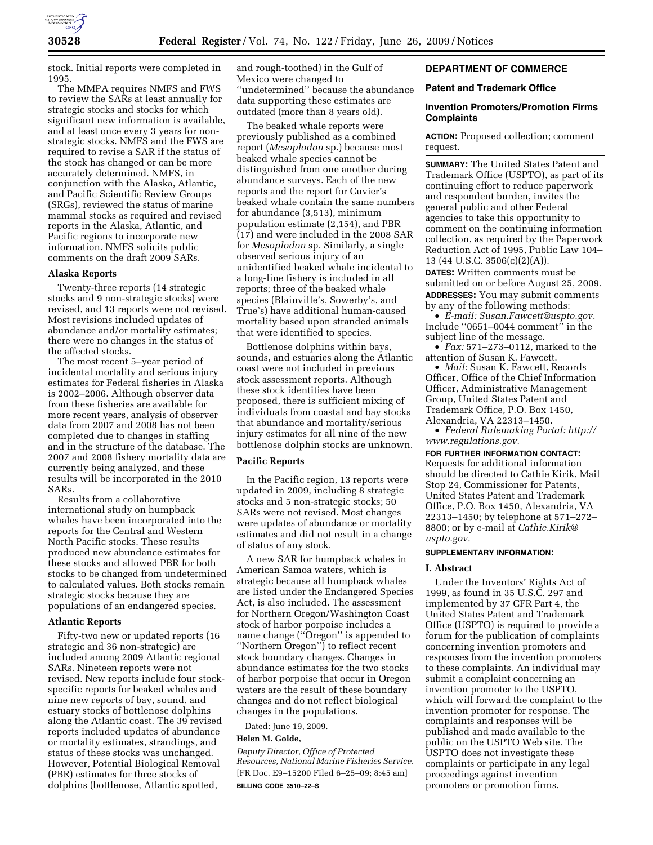

stock. Initial reports were completed in 1995.

The MMPA requires NMFS and FWS to review the SARs at least annually for strategic stocks and stocks for which significant new information is available, and at least once every 3 years for nonstrategic stocks. NMFS and the FWS are required to revise a SAR if the status of the stock has changed or can be more accurately determined. NMFS, in conjunction with the Alaska, Atlantic, and Pacific Scientific Review Groups (SRGs), reviewed the status of marine mammal stocks as required and revised reports in the Alaska, Atlantic, and Pacific regions to incorporate new information. NMFS solicits public comments on the draft 2009 SARs.

## **Alaska Reports**

Twenty-three reports (14 strategic stocks and 9 non-strategic stocks) were revised, and 13 reports were not revised. Most revisions included updates of abundance and/or mortality estimates; there were no changes in the status of the affected stocks.

The most recent 5–year period of incidental mortality and serious injury estimates for Federal fisheries in Alaska is 2002–2006. Although observer data from these fisheries are available for more recent years, analysis of observer data from 2007 and 2008 has not been completed due to changes in staffing and in the structure of the database. The 2007 and 2008 fishery mortality data are currently being analyzed, and these results will be incorporated in the 2010 SARs.

Results from a collaborative international study on humpback whales have been incorporated into the reports for the Central and Western North Pacific stocks. These results produced new abundance estimates for these stocks and allowed PBR for both stocks to be changed from undetermined to calculated values. Both stocks remain strategic stocks because they are populations of an endangered species.

### **Atlantic Reports**

Fifty-two new or updated reports (16 strategic and 36 non-strategic) are included among 2009 Atlantic regional SARs. Nineteen reports were not revised. New reports include four stockspecific reports for beaked whales and nine new reports of bay, sound, and estuary stocks of bottlenose dolphins along the Atlantic coast. The 39 revised reports included updates of abundance or mortality estimates, strandings, and status of these stocks was unchanged. However, Potential Biological Removal (PBR) estimates for three stocks of dolphins (bottlenose, Atlantic spotted,

and rough-toothed) in the Gulf of Mexico were changed to ''undetermined'' because the abundance data supporting these estimates are outdated (more than 8 years old).

The beaked whale reports were previously published as a combined report (*Mesoplodon* sp.) because most beaked whale species cannot be distinguished from one another during abundance surveys. Each of the new reports and the report for Cuvier's beaked whale contain the same numbers for abundance (3,513), minimum population estimate (2,154), and PBR (17) and were included in the 2008 SAR for *Mesoplodon* sp. Similarly, a single observed serious injury of an unidentified beaked whale incidental to a long-line fishery is included in all reports; three of the beaked whale species (Blainville's, Sowerby's, and True's) have additional human-caused mortality based upon stranded animals that were identified to species.

Bottlenose dolphins within bays, sounds, and estuaries along the Atlantic coast were not included in previous stock assessment reports. Although these stock identities have been proposed, there is sufficient mixing of individuals from coastal and bay stocks that abundance and mortality/serious injury estimates for all nine of the new bottlenose dolphin stocks are unknown.

## **Pacific Reports**

In the Pacific region, 13 reports were updated in 2009, including 8 strategic stocks and 5 non-strategic stocks; 50 SARs were not revised. Most changes were updates of abundance or mortality estimates and did not result in a change of status of any stock.

A new SAR for humpback whales in American Samoa waters, which is strategic because all humpback whales are listed under the Endangered Species Act, is also included. The assessment for Northern Oregon/Washington Coast stock of harbor porpoise includes a name change (''Oregon'' is appended to ''Northern Oregon'') to reflect recent stock boundary changes. Changes in abundance estimates for the two stocks of harbor porpoise that occur in Oregon waters are the result of these boundary changes and do not reflect biological changes in the populations.

Dated: June 19, 2009.

## **Helen M. Golde,**

*Deputy Director, Office of Protected Resources, National Marine Fisheries Service.*  [FR Doc. E9–15200 Filed 6–25–09; 8:45 am] **BILLING CODE 3510–22–S** 

# **DEPARTMENT OF COMMERCE**

# **Patent and Trademark Office**

## **Invention Promoters/Promotion Firms Complaints**

**ACTION:** Proposed collection; comment request.

**SUMMARY:** The United States Patent and Trademark Office (USPTO), as part of its continuing effort to reduce paperwork and respondent burden, invites the general public and other Federal agencies to take this opportunity to comment on the continuing information collection, as required by the Paperwork Reduction Act of 1995, Public Law 104– 13 (44 U.S.C. 3506(c)(2)(A)).

**DATES:** Written comments must be submitted on or before August 25, 2009. **ADDRESSES:** You may submit comments by any of the following methods:

• *E-mail: Susan.Fawcett@uspto.gov.*  Include ''0651–0044 comment'' in the subject line of the message.

• *Fax:* 571–273–0112, marked to the attention of Susan K. Fawcett.

• *Mail:* Susan K. Fawcett, Records Officer, Office of the Chief Information Officer, Administrative Management Group, United States Patent and Trademark Office, P.O. Box 1450, Alexandria, VA 22313–1450.

• *Federal Rulemaking Portal: http:// www.regulations.gov.* 

**FOR FURTHER INFORMATION CONTACT:**  Requests for additional information should be directed to Cathie Kirik, Mail Stop 24, Commissioner for Patents, United States Patent and Trademark Office, P.O. Box 1450, Alexandria, VA 22313–1450; by telephone at 571–272– 8800; or by e-mail at *Cathie.Kirik@ uspto.gov.* 

## **SUPPLEMENTARY INFORMATION:**

#### **I. Abstract**

Under the Inventors' Rights Act of 1999, as found in 35 U.S.C. 297 and implemented by 37 CFR Part 4, the United States Patent and Trademark Office (USPTO) is required to provide a forum for the publication of complaints concerning invention promoters and responses from the invention promoters to these complaints. An individual may submit a complaint concerning an invention promoter to the USPTO, which will forward the complaint to the invention promoter for response. The complaints and responses will be published and made available to the public on the USPTO Web site. The USPTO does not investigate these complaints or participate in any legal proceedings against invention promoters or promotion firms.